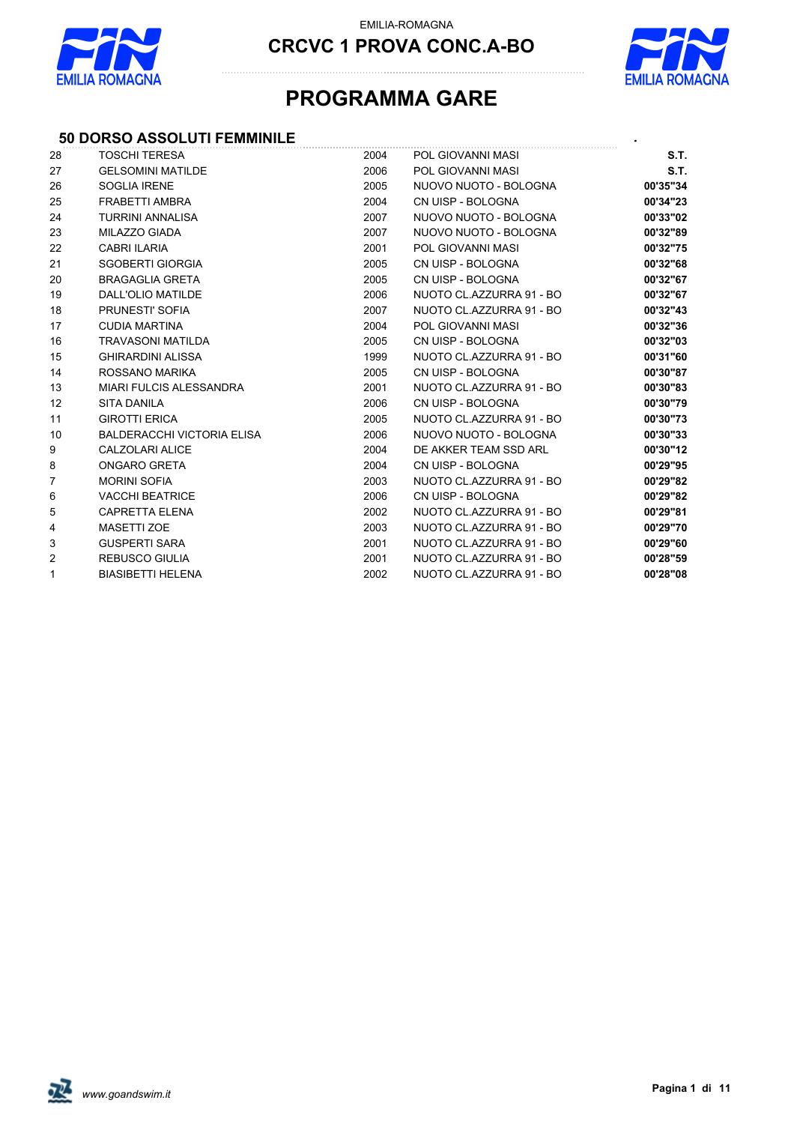

**CRCVC 1 PROVA CONC.A-BO**



# **PROGRAMMA GARE**

## **50 DORSO ASSOLUTI FEMMINILE** *.*

| 28             | <b>TOSCHI TERESA</b>              | 2004 | POL GIOVANNI MASI        | S.T.     |
|----------------|-----------------------------------|------|--------------------------|----------|
| 27             | <b>GELSOMINI MATILDE</b>          | 2006 | POL GIOVANNI MASI        | S.T.     |
| 26             | SOGLIA IRENE                      | 2005 | NUOVO NUOTO - BOLOGNA    | 00'35"34 |
| 25             | FRABETTI AMBRA                    | 2004 | CN UISP - BOLOGNA        | 00'34"23 |
| 24             | <b>TURRINI ANNALISA</b>           | 2007 | NUOVO NUOTO - BOLOGNA    | 00'33"02 |
| 23             | MILAZZO GIADA                     | 2007 | NUOVO NUOTO - BOLOGNA    | 00'32"89 |
| 22             | <b>CABRI ILARIA</b>               | 2001 | POL GIOVANNI MASI        | 00'32"75 |
| 21             | <b>SGOBERTI GIORGIA</b>           | 2005 | CN UISP - BOLOGNA        | 00'32"68 |
| 20             | <b>BRAGAGLIA GRETA</b>            | 2005 | CN UISP - BOLOGNA        | 00'32"67 |
| 19             | DALL'OLIO MATILDE                 | 2006 | NUOTO CL.AZZURRA 91 - BO | 00'32"67 |
| 18             | PRUNESTI' SOFIA                   | 2007 | NUOTO CL.AZZURRA 91 - BO | 00'32"43 |
| 17             | <b>CUDIA MARTINA</b>              | 2004 | POL GIOVANNI MASI        | 00'32"36 |
| 16             | <b>TRAVASONI MATILDA</b>          | 2005 | CN UISP - BOLOGNA        | 00'32"03 |
| 15             | <b>GHIRARDINI ALISSA</b>          | 1999 | NUOTO CL.AZZURRA 91 - BO | 00'31"60 |
| 14             | ROSSANO MARIKA                    | 2005 | CN UISP - BOLOGNA        | 00'30"87 |
| 13             | <b>MIARI FULCIS ALESSANDRA</b>    | 2001 | NUOTO CL.AZZURRA 91 - BO | 00'30"83 |
| 12             | <b>SITA DANILA</b>                | 2006 | CN UISP - BOLOGNA        | 00'30"79 |
| 11             | <b>GIROTTI ERICA</b>              | 2005 | NUOTO CL.AZZURRA 91 - BO | 00'30"73 |
| 10             | <b>BALDERACCHI VICTORIA ELISA</b> | 2006 | NUOVO NUOTO - BOLOGNA    | 00'30"33 |
| 9              | CALZOLARI ALICE                   | 2004 | DE AKKER TEAM SSD ARL    | 00'30"12 |
| 8              | ONGARO GRETA                      | 2004 | CN UISP - BOLOGNA        | 00'29"95 |
| $\overline{7}$ | <b>MORINI SOFIA</b>               | 2003 | NUOTO CL.AZZURRA 91 - BO | 00'29"82 |
| 6              | <b>VACCHI BEATRICE</b>            | 2006 | CN UISP - BOLOGNA        | 00'29"82 |
| 5              | <b>CAPRETTA ELENA</b>             | 2002 | NUOTO CL.AZZURRA 91 - BO | 00'29"81 |
| 4              | <b>MASETTI ZOE</b>                | 2003 | NUOTO CL.AZZURRA 91 - BO | 00'29"70 |
| 3              | <b>GUSPERTI SARA</b>              | 2001 | NUOTO CL.AZZURRA 91 - BO | 00'29"60 |
| $\overline{2}$ | <b>REBUSCO GIULIA</b>             | 2001 | NUOTO CL.AZZURRA 91 - BO | 00'28"59 |
| $\mathbf{1}$   | <b>BIASIBETTI HELENA</b>          | 2002 | NUOTO CL.AZZURRA 91 - BO | 00'28"08 |

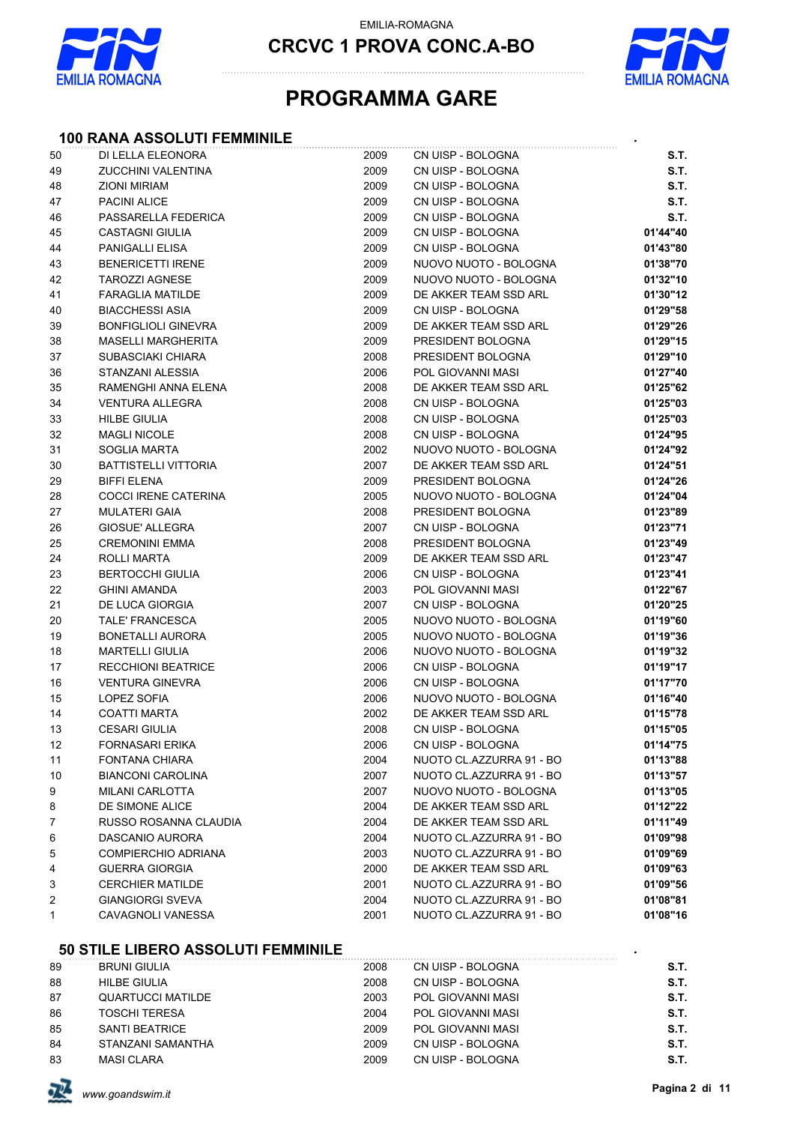

**CRCVC 1 PROVA CONC.A-BO**



# **PROGRAMMA GARE**

## **100 RANA ASSOLUTI FEMMINILE** *.*

| 50 | DI LELLA ELEONORA           | 2009 | CN UISP - BOLOGNA        | S.T.     |
|----|-----------------------------|------|--------------------------|----------|
| 49 | <b>ZUCCHINI VALENTINA</b>   | 2009 | CN UISP - BOLOGNA        | S.T.     |
| 48 | <b>ZIONI MIRIAM</b>         | 2009 | CN UISP - BOLOGNA        | S.T.     |
| 47 | <b>PACINI ALICE</b>         | 2009 | CN UISP - BOLOGNA        | S.T.     |
| 46 | PASSARELLA FEDERICA         | 2009 | CN UISP - BOLOGNA        | S.T.     |
| 45 | <b>CASTAGNI GIULIA</b>      | 2009 | CN UISP - BOLOGNA        | 01'44"40 |
| 44 | PANIGALLI ELISA             | 2009 | CN UISP - BOLOGNA        | 01'43"80 |
| 43 | <b>BENERICETTI IRENE</b>    | 2009 | NUOVO NUOTO - BOLOGNA    | 01'38"70 |
| 42 | <b>TAROZZI AGNESE</b>       | 2009 | NUOVO NUOTO - BOLOGNA    | 01'32"10 |
| 41 | <b>FARAGLIA MATILDE</b>     | 2009 | DE AKKER TEAM SSD ARL    | 01'30"12 |
| 40 | <b>BIACCHESSI ASIA</b>      | 2009 | CN UISP - BOLOGNA        | 01'29"58 |
| 39 | <b>BONFIGLIOLI GINEVRA</b>  | 2009 | DE AKKER TEAM SSD ARL    | 01'29"26 |
| 38 | <b>MASELLI MARGHERITA</b>   | 2009 | PRESIDENT BOLOGNA        | 01'29"15 |
| 37 | SUBASCIAKI CHIARA           | 2008 | PRESIDENT BOLOGNA        | 01'29"10 |
| 36 | STANZANI ALESSIA            | 2006 | POL GIOVANNI MASI        | 01'27"40 |
| 35 | RAMENGHI ANNA ELENA         | 2008 | DE AKKER TEAM SSD ARL    | 01'25"62 |
| 34 | <b>VENTURA ALLEGRA</b>      | 2008 | CN UISP - BOLOGNA        | 01'25"03 |
| 33 | <b>HILBE GIULIA</b>         | 2008 | CN UISP - BOLOGNA        | 01'25"03 |
| 32 | <b>MAGLI NICOLE</b>         | 2008 | CN UISP - BOLOGNA        | 01'24"95 |
| 31 | SOGLIA MARTA                | 2002 | NUOVO NUOTO - BOLOGNA    | 01'24"92 |
| 30 | BATTISTELLI VITTORIA        | 2007 | DE AKKER TEAM SSD ARL    | 01'24"51 |
| 29 | <b>BIFFI ELENA</b>          | 2009 | PRESIDENT BOLOGNA        | 01'24"26 |
| 28 | <b>COCCI IRENE CATERINA</b> | 2005 | NUOVO NUOTO - BOLOGNA    | 01'24"04 |
| 27 | <b>MULATERI GAIA</b>        | 2008 | PRESIDENT BOLOGNA        | 01'23"89 |
| 26 | <b>GIOSUE' ALLEGRA</b>      | 2007 | CN UISP - BOLOGNA        | 01'23"71 |
| 25 | <b>CREMONINI EMMA</b>       | 2008 | PRESIDENT BOLOGNA        | 01'23"49 |
| 24 | ROLLI MARTA                 | 2009 | DE AKKER TEAM SSD ARL    | 01'23"47 |
| 23 | <b>BERTOCCHI GIULIA</b>     | 2006 | CN UISP - BOLOGNA        | 01'23"41 |
| 22 | <b>GHINI AMANDA</b>         | 2003 | POL GIOVANNI MASI        | 01'22"67 |
| 21 | DE LUCA GIORGIA             | 2007 | CN UISP - BOLOGNA        | 01'20"25 |
| 20 | TALE' FRANCESCA             | 2005 | NUOVO NUOTO - BOLOGNA    | 01'19"60 |
| 19 | BONETALLI AURORA            | 2005 | NUOVO NUOTO - BOLOGNA    | 01'19"36 |
| 18 | <b>MARTELLI GIULIA</b>      | 2006 | NUOVO NUOTO - BOLOGNA    | 01'19"32 |
| 17 | <b>RECCHIONI BEATRICE</b>   | 2006 | CN UISP - BOLOGNA        | 01'19"17 |
| 16 | <b>VENTURA GINEVRA</b>      | 2006 | CN UISP - BOLOGNA        | 01'17"70 |
| 15 | LOPEZ SOFIA                 | 2006 | NUOVO NUOTO - BOLOGNA    | 01'16"40 |
| 14 | <b>COATTI MARTA</b>         | 2002 | DE AKKER TEAM SSD ARL    | 01'15"78 |
| 13 | <b>CESARI GIULIA</b>        | 2008 | CN UISP - BOLOGNA        | 01'15"05 |
| 12 | <b>FORNASARI ERIKA</b>      | 2006 | CN UISP - BOLOGNA        | 01'14"75 |
| 11 | FONTANA CHIARA              | 2004 | NUOTO CL.AZZURRA 91 - BO | 01'13"88 |
| 10 | <b>BIANCONI CAROLINA</b>    | 2007 | NUOTO CL.AZZURRA 91 - BO | 01'13"57 |
| 9  | MILANI CARLOTTA             | 2007 | NUOVO NUOTO - BOLOGNA    | 01'13"05 |
| 8  | DE SIMONE ALICE             | 2004 | DE AKKER TEAM SSD ARL    | 01'12"22 |
| 7  | RUSSO ROSANNA CLAUDIA       | 2004 | DE AKKER TEAM SSD ARL    | 01'11"49 |
| 6  | DASCANIO AURORA             | 2004 | NUOTO CL.AZZURRA 91 - BO | 01'09"98 |
| 5  | <b>COMPIERCHIO ADRIANA</b>  | 2003 | NUOTO CL.AZZURRA 91 - BO | 01'09"69 |
| 4  | <b>GUERRA GIORGIA</b>       | 2000 | DE AKKER TEAM SSD ARL    | 01'09"63 |
| 3  | <b>CERCHIER MATILDE</b>     | 2001 | NUOTO CL.AZZURRA 91 - BO | 01'09"56 |
| 2  | <b>GIANGIORGI SVEVA</b>     | 2004 | NUOTO CL.AZZURRA 91 - BO | 01'08"81 |
| 1  | CAVAGNOLI VANESSA           | 2001 | NUOTO CL.AZZURRA 91 - BO | 01'08"16 |
|    |                             |      |                          |          |
|    |                             |      |                          |          |

#### **50 STILE LIBERO ASSOLUTI FEMMINILE** *.*

| 89 | <b>BRUNI GIULIA</b>   | 2008 | CN UISP - BOLOGNA | S.T. |
|----|-----------------------|------|-------------------|------|
| 88 | <b>HILBE GIULIA</b>   | 2008 | CN UISP - BOLOGNA | S.T. |
| 87 | QUARTUCCI MATILDE     | 2003 | POL GIOVANNI MASI | S.T. |
| 86 | <b>TOSCHI TERESA</b>  | 2004 | POL GIOVANNI MASI | S.T. |
| 85 | <b>SANTI BEATRICE</b> | 2009 | POL GIOVANNI MASI | S.T. |
| 84 | STANZANI SAMANTHA     | 2009 | CN UISP - BOLOGNA | S.T. |
| 83 | <b>MASI CLARA</b>     | 2009 | CN UISP - BOLOGNA | S.T. |

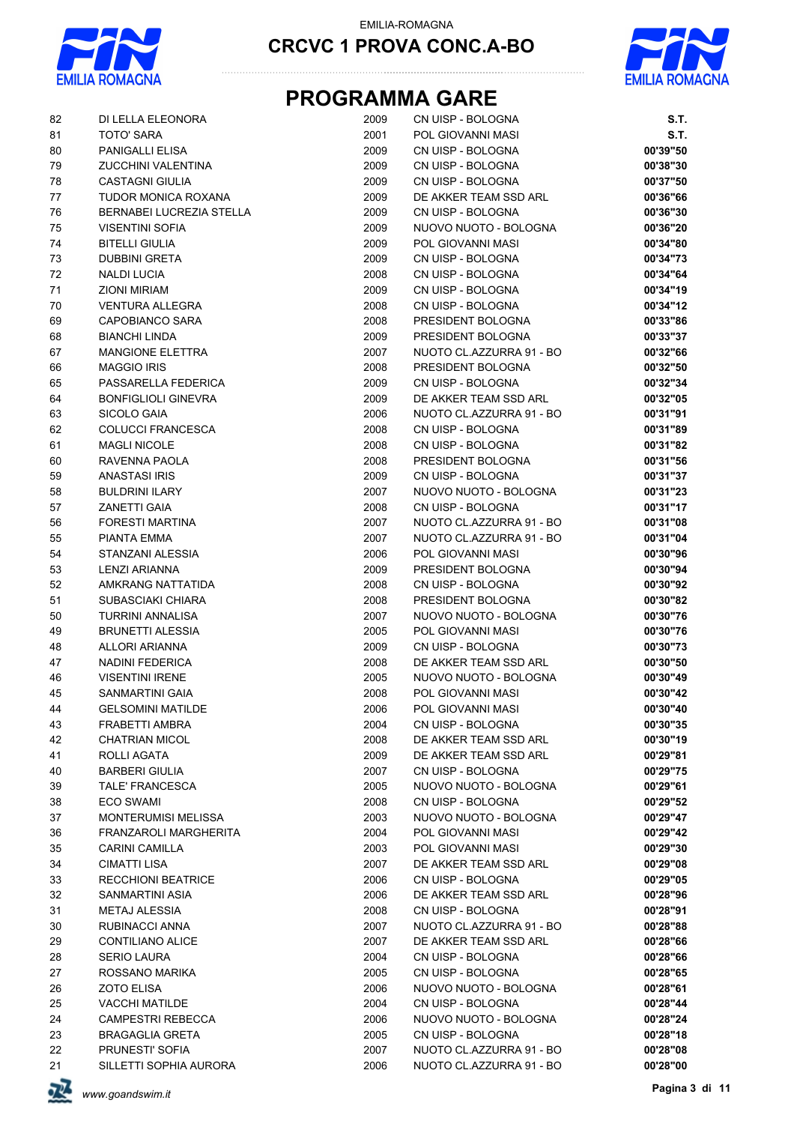



# **PROGRAMMA GARE**

| 82         | DI LELLA ELEONORA          | 2009 | CN UISP - BOLOGNA                                    | S.T.     |
|------------|----------------------------|------|------------------------------------------------------|----------|
| 81         | <b>TOTO' SARA</b>          | 2001 | POL GIOVANNI MASI                                    | S.T.     |
| 80         | PANIGALLI ELISA            | 2009 | CN UISP - BOLOGNA                                    | 00'39"50 |
| 79         | ZUCCHINI VALENTINA         | 2009 | CN UISP - BOLOGNA                                    | 00'38"30 |
| 78         | <b>CASTAGNI GIULIA</b>     | 2009 | CN UISP - BOLOGNA                                    | 00'37"50 |
| 77         | TUDOR MONICA ROXANA        | 2009 | DE AKKER TEAM SSD ARL                                | 00'36"66 |
| ${\bf 76}$ | BERNABEI LUCREZIA STELLA   | 2009 | CN UISP - BOLOGNA                                    | 00'36"30 |
| 75         | <b>VISENTINI SOFIA</b>     | 2009 | NUOVO NUOTO - BOLOGNA                                | 00'36"20 |
| 74         | <b>BITELLI GIULIA</b>      | 2009 | POL GIOVANNI MASI                                    | 00'34"80 |
| 73         | <b>DUBBINI GRETA</b>       | 2009 | CN UISP - BOLOGNA                                    | 00'34"73 |
| 72         | <b>NALDI LUCIA</b>         | 2008 | CN UISP - BOLOGNA                                    | 00'34"64 |
| 71         | <b>ZIONI MIRIAM</b>        | 2009 | CN UISP - BOLOGNA                                    | 00'34"19 |
| 70         | <b>VENTURA ALLEGRA</b>     | 2008 | CN UISP - BOLOGNA                                    | 00'34"12 |
| 69         | CAPOBIANCO SARA            | 2008 | PRESIDENT BOLOGNA                                    | 00'33"86 |
| 68         | <b>BIANCHI LINDA</b>       | 2009 | PRESIDENT BOLOGNA                                    | 00'33"37 |
| 67         | <b>MANGIONE ELETTRA</b>    | 2007 | NUOTO CL.AZZURRA 91 - BO                             | 00'32"66 |
| 66         | <b>MAGGIO IRIS</b>         | 2008 | PRESIDENT BOLOGNA                                    | 00'32"50 |
| 65         | PASSARELLA FEDERICA        | 2009 | CN UISP - BOLOGNA                                    | 00'32"34 |
| 64         | <b>BONFIGLIOLI GINEVRA</b> | 2009 | DE AKKER TEAM SSD ARL                                | 00'32"05 |
| 63         | SICOLO GAIA                | 2006 | NUOTO CL.AZZURRA 91 - BO                             | 00'31"91 |
| 62         | <b>COLUCCI FRANCESCA</b>   | 2008 | CN UISP - BOLOGNA                                    | 00'31"89 |
| 61         | <b>MAGLI NICOLE</b>        | 2008 | CN UISP - BOLOGNA                                    | 00'31"82 |
| 60         | RAVENNA PAOLA              | 2008 | PRESIDENT BOLOGNA                                    | 00'31"56 |
| 59         | <b>ANASTASI IRIS</b>       | 2009 | CN UISP - BOLOGNA                                    | 00'31"37 |
| 58         | <b>BULDRINI ILARY</b>      | 2007 | NUOVO NUOTO - BOLOGNA                                | 00'31"23 |
| 57         | <b>ZANETTI GAIA</b>        | 2008 | CN UISP - BOLOGNA                                    | 00'31"17 |
|            |                            |      |                                                      |          |
| 56         | <b>FORESTI MARTINA</b>     | 2007 | NUOTO CL.AZZURRA 91 - BO<br>NUOTO CL.AZZURRA 91 - BO | 00'31"08 |
| 55         | PIANTA EMMA                | 2007 |                                                      | 00'31"04 |
| 54         | STANZANI ALESSIA           | 2006 | POL GIOVANNI MASI                                    | 00'30"96 |
| 53         | LENZI ARIANNA              | 2009 | PRESIDENT BOLOGNA                                    | 00'30"94 |
| 52         | AMKRANG NATTATIDA          | 2008 | CN UISP - BOLOGNA                                    | 00'30"92 |
| 51         | SUBASCIAKI CHIARA          | 2008 | PRESIDENT BOLOGNA                                    | 00'30"82 |
| 50         | <b>TURRINI ANNALISA</b>    | 2007 | NUOVO NUOTO - BOLOGNA                                | 00'30"76 |
| 49         | <b>BRUNETTI ALESSIA</b>    | 2005 | POL GIOVANNI MASI                                    | 00'30"76 |
| 48         | <b>ALLORI ARIANNA</b>      | 2009 | CN UISP - BOLOGNA                                    | 00'30"73 |
| 47         | <b>NADINI FEDERICA</b>     | 2008 | DE AKKER TEAM SSD ARL                                | 00'30"50 |
| 46         | <b>VISENTINI IRENE</b>     | 2005 | NUOVO NUOTO - BOLOGNA                                | 00'30"49 |
| 45         | SANMARTINI GAIA            | 2008 | POL GIOVANNI MASI                                    | 00'30"42 |
| 44         | <b>GELSOMINI MATILDE</b>   | 2006 | POL GIOVANNI MASI                                    | 00'30"40 |
| 43         | FRABETTI AMBRA             | 2004 | CN UISP - BOLOGNA                                    | 00'30"35 |
| 42         | <b>CHATRIAN MICOL</b>      | 2008 | DE AKKER TEAM SSD ARL                                | 00'30"19 |
| 41         | ROLLI AGATA                | 2009 | DE AKKER TEAM SSD ARL                                | 00'29"81 |
| 40         | <b>BARBERI GIULIA</b>      | 2007 | CN UISP - BOLOGNA                                    | 00'29"75 |
| 39         | TALE' FRANCESCA            | 2005 | NUOVO NUOTO - BOLOGNA                                | 00'29"61 |
| 38         | <b>ECO SWAMI</b>           | 2008 | CN UISP - BOLOGNA                                    | 00'29"52 |
| 37         | <b>MONTERUMISI MELISSA</b> | 2003 | NUOVO NUOTO - BOLOGNA                                | 00'29"47 |
| 36         | FRANZAROLI MARGHERITA      | 2004 | POL GIOVANNI MASI                                    | 00'29"42 |
| 35         | CARINI CAMILLA             | 2003 | POL GIOVANNI MASI                                    | 00'29"30 |
| 34         | <b>CIMATTI LISA</b>        | 2007 | DE AKKER TEAM SSD ARL                                | 00'29"08 |
| 33         | <b>RECCHIONI BEATRICE</b>  | 2006 | CN UISP - BOLOGNA                                    | 00'29"05 |
| 32         | SANMARTINI ASIA            | 2006 | DE AKKER TEAM SSD ARL                                | 00'28"96 |
| 31         | <b>METAJ ALESSIA</b>       | 2008 | CN UISP - BOLOGNA                                    | 00'28"91 |
| 30         | RUBINACCI ANNA             | 2007 | NUOTO CL.AZZURRA 91 - BO                             | 00'28"88 |
| 29         | CONTILIANO ALICE           | 2007 | DE AKKER TEAM SSD ARL                                | 00'28"66 |
| 28         | <b>SERIO LAURA</b>         | 2004 | CN UISP - BOLOGNA                                    | 00'28"66 |
| 27         | ROSSANO MARIKA             | 2005 | CN UISP - BOLOGNA                                    | 00'28"65 |
| 26         | <b>ZOTO ELISA</b>          | 2006 | NUOVO NUOTO - BOLOGNA                                | 00'28"61 |
| 25         | <b>VACCHI MATILDE</b>      | 2004 | CN UISP - BOLOGNA                                    | 00'28"44 |
| 24         | <b>CAMPESTRI REBECCA</b>   | 2006 | NUOVO NUOTO - BOLOGNA                                | 00'28"24 |
|            |                            |      |                                                      |          |
| 23         | <b>BRAGAGLIA GRETA</b>     | 2005 | CN UISP - BOLOGNA                                    | 00'28"18 |
| 22         | PRUNESTI' SOFIA            | 2007 | NUOTO CL.AZZURRA 91 - BO                             | 00'28"08 |
| 21         | SILLETTI SOPHIA AURORA     | 2006 | NUOTO CL.AZZURRA 91 - BO                             | 00'28"00 |

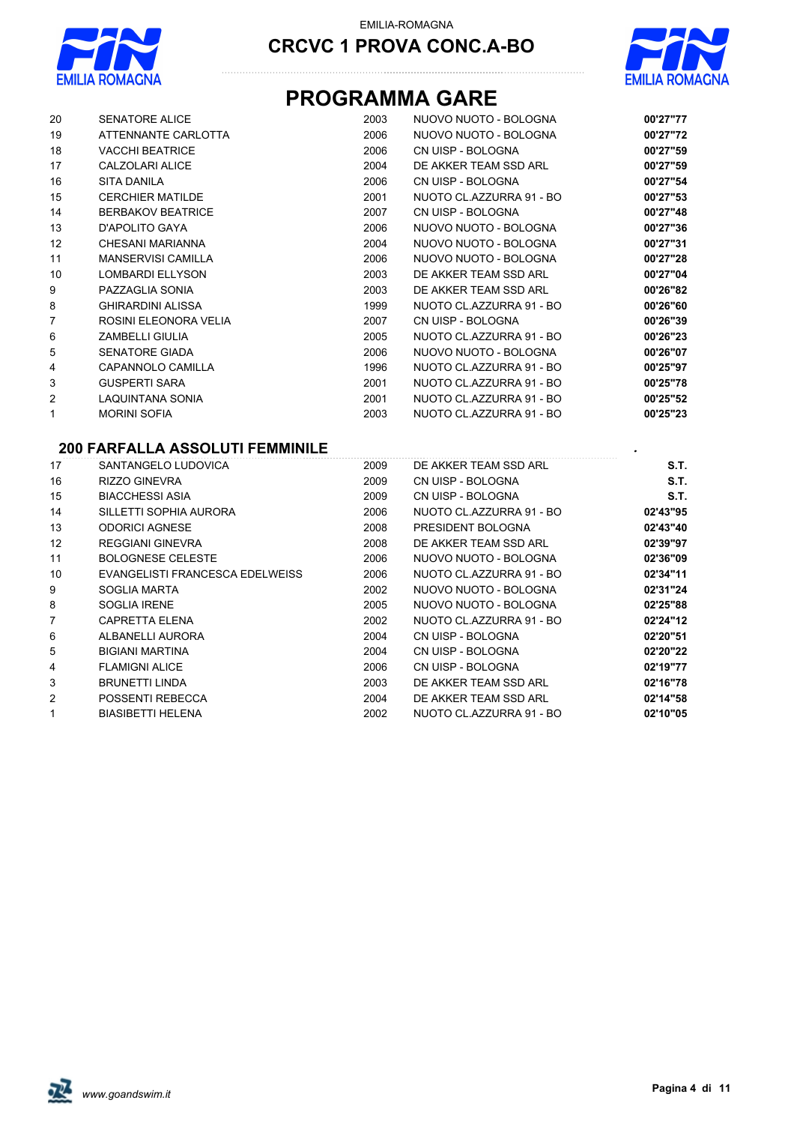



# **PROGRAMMA GARE**

| 20 | <b>SENATORE ALICE</b>     | 2003 | NUOVO NUOTO - BOLOGNA    | 00'27"77 |
|----|---------------------------|------|--------------------------|----------|
| 19 | ATTENNANTE CARLOTTA       | 2006 | NUOVO NUOTO - BOLOGNA    | 00'27"72 |
| 18 | <b>VACCHI BEATRICE</b>    | 2006 | CN UISP - BOLOGNA        | 00'27"59 |
| 17 | CALZOLARI ALICE           | 2004 | DE AKKER TEAM SSD ARL    | 00'27"59 |
| 16 | SITA DANILA               | 2006 | CN UISP - BOLOGNA        | 00'27"54 |
| 15 | <b>CERCHIER MATILDE</b>   | 2001 | NUOTO CL.AZZURRA 91 - BO | 00'27"53 |
| 14 | <b>BERBAKOV BEATRICE</b>  | 2007 | CN UISP - BOLOGNA        | 00'27"48 |
| 13 | D'APOLITO GAYA            | 2006 | NUOVO NUOTO - BOLOGNA    | 00'27"36 |
| 12 | CHESANI MARIANNA          | 2004 | NUOVO NUOTO - BOLOGNA    | 00'27"31 |
| 11 | <b>MANSERVISI CAMILLA</b> | 2006 | NUOVO NUOTO - BOLOGNA    | 00'27"28 |
| 10 | <b>LOMBARDI ELLYSON</b>   | 2003 | DE AKKER TEAM SSD ARL    | 00'27"04 |
| 9  | PAZZAGLIA SONIA           | 2003 | DE AKKER TEAM SSD ARL    | 00'26"82 |
| 8  | <b>GHIRARDINI ALISSA</b>  | 1999 | NUOTO CL.AZZURRA 91 - BO | 00'26"60 |
| 7  | ROSINI ELEONORA VELIA     | 2007 | CN UISP - BOLOGNA        | 00'26"39 |
| 6  | <b>ZAMBELLI GIULIA</b>    | 2005 | NUOTO CL.AZZURRA 91 - BO | 00'26"23 |
| 5  | <b>SENATORE GIADA</b>     | 2006 | NUOVO NUOTO - BOLOGNA    | 00'26"07 |
| 4  | CAPANNOLO CAMILLA         | 1996 | NUOTO CL.AZZURRA 91 - BO | 00'25"97 |
| 3  | <b>GUSPERTI SARA</b>      | 2001 | NUOTO CL.AZZURRA 91 - BO | 00'25"78 |
| 2  | LAQUINTANA SONIA          | 2001 | NUOTO CL.AZZURRA 91 - BO | 00'25"52 |
|    | <b>MORINI SOFIA</b>       | 2003 | NUOTO CL.AZZURRA 91 - BO | 00'25"23 |

## **200 FARFALLA ASSOLUTI FEMMINILE** *.*

| 17          | SANTANGELO LUDOVICA             | 2009 | DE AKKER TEAM SSD ARL    | S.T.     |
|-------------|---------------------------------|------|--------------------------|----------|
| 16          | <b>RIZZO GINEVRA</b>            | 2009 | CN UISP - BOLOGNA        | S.T.     |
| 15          | <b>BIACCHESSI ASIA</b>          | 2009 | CN UISP - BOLOGNA        | S.T.     |
| 14          | SILLETTI SOPHIA AURORA          | 2006 | NUOTO CL.AZZURRA 91 - BO | 02'43"95 |
| 13          | <b>ODORICI AGNESE</b>           | 2008 | PRESIDENT BOLOGNA        | 02'43"40 |
| 12          | <b>REGGIANI GINEVRA</b>         | 2008 | DE AKKER TEAM SSD ARL    | 02'39"97 |
| 11          | <b>BOLOGNESE CELESTE</b>        | 2006 | NUOVO NUOTO - BOLOGNA    | 02'36"09 |
| 10          | EVANGELISTI FRANCESCA EDELWEISS | 2006 | NUOTO CL.AZZURRA 91 - BO | 02'34"11 |
| 9           | SOGLIA MARTA                    | 2002 | NUOVO NUOTO - BOLOGNA    | 02'31"24 |
| 8           | <b>SOGLIA IRENE</b>             | 2005 | NUOVO NUOTO - BOLOGNA    | 02'25"88 |
| 7           | <b>CAPRETTA ELENA</b>           | 2002 | NUOTO CL.AZZURRA 91 - BO | 02'24"12 |
| 6           | ALBANELLI AURORA                | 2004 | CN UISP - BOLOGNA        | 02'20"51 |
| 5           | <b>BIGIANI MARTINA</b>          | 2004 | CN UISP - BOLOGNA        | 02'20"22 |
| 4           | <b>FLAMIGNI ALICE</b>           | 2006 | CN UISP - BOLOGNA        | 02'19"77 |
| 3           | <b>BRUNETTI LINDA</b>           | 2003 | DE AKKER TEAM SSD ARL    | 02'16"78 |
| 2           | POSSENTI REBECCA                | 2004 | DE AKKER TEAM SSD ARL    | 02'14"58 |
| $\mathbf 1$ | <b>BIASIBETTI HELENA</b>        | 2002 | NUOTO CL.AZZURRA 91 - BO | 02'10"05 |

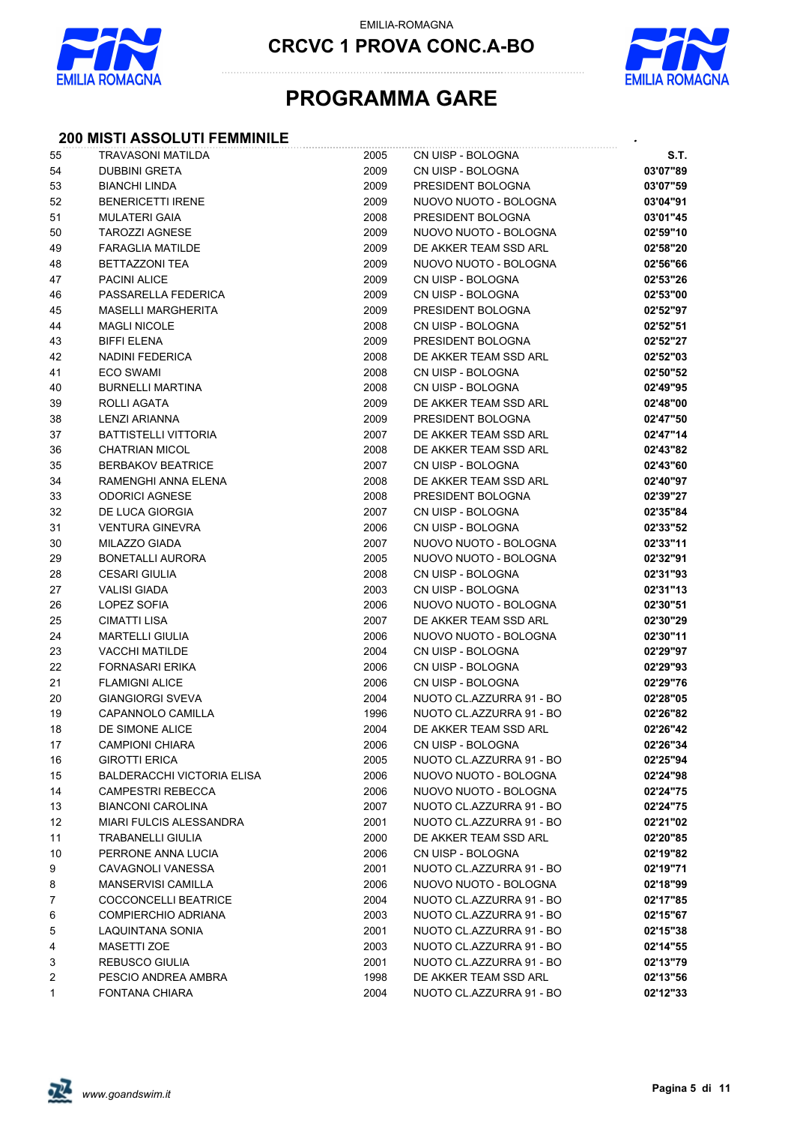

**CRCVC 1 PROVA CONC.A-BO**



# **PROGRAMMA GARE**

## **200 MISTI ASSOLUTI FEMMINILE** *.*

| 55     | <b>TRAVASONI MATILDA</b>          | 2005 | CN UISP - BOLOGNA        | S.T.     |
|--------|-----------------------------------|------|--------------------------|----------|
| 54     | <b>DUBBINI GRETA</b>              | 2009 | CN UISP - BOLOGNA        | 03'07"89 |
| 53     | <b>BIANCHI LINDA</b>              | 2009 | PRESIDENT BOLOGNA        | 03'07"59 |
| 52     | <b>BENERICETTI IRENE</b>          | 2009 | NUOVO NUOTO - BOLOGNA    | 03'04"91 |
| 51     | <b>MULATERI GAIA</b>              | 2008 | PRESIDENT BOLOGNA        | 03'01"45 |
| 50     | <b>TAROZZI AGNESE</b>             | 2009 | NUOVO NUOTO - BOLOGNA    | 02'59"10 |
| 49     | <b>FARAGLIA MATILDE</b>           | 2009 | DE AKKER TEAM SSD ARL    | 02'58"20 |
| 48     | <b>BETTAZZONI TEA</b>             | 2009 | NUOVO NUOTO - BOLOGNA    | 02'56"66 |
| 47     | <b>PACINI ALICE</b>               | 2009 | CN UISP - BOLOGNA        | 02'53"26 |
| 46     | PASSARELLA FEDERICA               | 2009 | CN UISP - BOLOGNA        | 02'53"00 |
| 45     | <b>MASELLI MARGHERITA</b>         | 2009 | PRESIDENT BOLOGNA        | 02'52"97 |
| 44     | <b>MAGLI NICOLE</b>               | 2008 | CN UISP - BOLOGNA        | 02'52"51 |
| 43     | <b>BIFFI ELENA</b>                | 2009 | PRESIDENT BOLOGNA        | 02'52"27 |
| 42     | NADINI FEDERICA                   | 2008 | DE AKKER TEAM SSD ARL    | 02'52"03 |
| 41     | ECO SWAMI                         | 2008 | CN UISP - BOLOGNA        | 02'50"52 |
| 40     | <b>BURNELLI MARTINA</b>           | 2008 | CN UISP - BOLOGNA        | 02'49"95 |
| 39     | ROLLI AGATA                       | 2009 | DE AKKER TEAM SSD ARL    | 02'48"00 |
| 38     | LENZI ARIANNA                     | 2009 | PRESIDENT BOLOGNA        | 02'47"50 |
| $37\,$ | <b>BATTISTELLI VITTORIA</b>       | 2007 | DE AKKER TEAM SSD ARL    | 02'47"14 |
| 36     | <b>CHATRIAN MICOL</b>             | 2008 | DE AKKER TEAM SSD ARL    | 02'43"82 |
| 35     | <b>BERBAKOV BEATRICE</b>          | 2007 | CN UISP - BOLOGNA        | 02'43"60 |
| 34     | RAMENGHI ANNA ELENA               | 2008 | DE AKKER TEAM SSD ARL    | 02'40"97 |
| 33     | <b>ODORICI AGNESE</b>             | 2008 | PRESIDENT BOLOGNA        | 02'39"27 |
| 32     | DE LUCA GIORGIA                   | 2007 | CN UISP - BOLOGNA        | 02'35"84 |
| 31     | <b>VENTURA GINEVRA</b>            | 2006 | CN UISP - BOLOGNA        | 02'33"52 |
| 30     | MILAZZO GIADA                     | 2007 | NUOVO NUOTO - BOLOGNA    | 02'33"11 |
| 29     | <b>BONETALLI AURORA</b>           | 2005 | NUOVO NUOTO - BOLOGNA    | 02'32"91 |
| 28     | <b>CESARI GIULIA</b>              | 2008 | CN UISP - BOLOGNA        | 02'31"93 |
| 27     | VALISI GIADA                      | 2003 | CN UISP - BOLOGNA        | 02'31"13 |
| 26     | LOPEZ SOFIA                       | 2006 | NUOVO NUOTO - BOLOGNA    | 02'30"51 |
| 25     | <b>CIMATTI LISA</b>               | 2007 | DE AKKER TEAM SSD ARL    | 02'30"29 |
| 24     | <b>MARTELLI GIULIA</b>            | 2006 | NUOVO NUOTO - BOLOGNA    | 02'30"11 |
| 23     | <b>VACCHI MATILDE</b>             | 2004 | CN UISP - BOLOGNA        | 02'29"97 |
| 22     | <b>FORNASARI ERIKA</b>            | 2006 | CN UISP - BOLOGNA        | 02'29"93 |
| 21     | <b>FLAMIGNI ALICE</b>             | 2006 | CN UISP - BOLOGNA        | 02'29"76 |
| $20\,$ | <b>GIANGIORGI SVEVA</b>           | 2004 | NUOTO CL.AZZURRA 91 - BO | 02'28"05 |
| 19     | CAPANNOLO CAMILLA                 | 1996 | NUOTO CL.AZZURRA 91 - BO | 02'26"82 |
| 18     | DE SIMONE ALICE                   | 2004 | DE AKKER TEAM SSD ARL    | 02'26"42 |
| 17     | <b>CAMPIONI CHIARA</b>            | 2006 | CN UISP - BOLOGNA        | 02'26"34 |
| 16     | <b>GIROTTI ERICA</b>              | 2005 | NUOTO CL.AZZURRA 91 - BO | 02'25"94 |
| 15     | <b>BALDERACCHI VICTORIA ELISA</b> | 2006 | NUOVO NUOTO - BOLOGNA    | 02'24"98 |
| 14     | <b>CAMPESTRI REBECCA</b>          | 2006 | NUOVO NUOTO - BOLOGNA    | 02'24"75 |
| 13     | <b>BIANCONI CAROLINA</b>          | 2007 | NUOTO CL.AZZURRA 91 - BO | 02'24"75 |
| 12     | <b>MIARI FULCIS ALESSANDRA</b>    | 2001 | NUOTO CL.AZZURRA 91 - BO | 02'21"02 |
| 11     | <b>TRABANELLI GIULIA</b>          | 2000 | DE AKKER TEAM SSD ARL    | 02'20"85 |
| 10     | PERRONE ANNA LUCIA                | 2006 | CN UISP - BOLOGNA        | 02'19"82 |
| 9      | CAVAGNOLI VANESSA                 | 2001 | NUOTO CL.AZZURRA 91 - BO | 02'19"71 |
| 8      | <b>MANSERVISI CAMILLA</b>         | 2006 | NUOVO NUOTO - BOLOGNA    | 02'18"99 |
| 7      | COCCONCELLI BEATRICE              | 2004 | NUOTO CL.AZZURRA 91 - BO | 02'17"85 |
| 6      | COMPIERCHIO ADRIANA               | 2003 | NUOTO CL.AZZURRA 91 - BO | 02'15"67 |
| 5      | LAQUINTANA SONIA                  | 2001 | NUOTO CL.AZZURRA 91 - BO | 02'15"38 |
| 4      | <b>MASETTI ZOE</b>                | 2003 | NUOTO CL.AZZURRA 91 - BO | 02'14"55 |
| 3      | <b>REBUSCO GIULIA</b>             | 2001 | NUOTO CL.AZZURRA 91 - BO | 02'13"79 |
| 2      | PESCIO ANDREA AMBRA               | 1998 | DE AKKER TEAM SSD ARL    | 02'13"56 |
| 1      | FONTANA CHIARA                    | 2004 | NUOTO CL.AZZURRA 91 - BO | 02'12"33 |

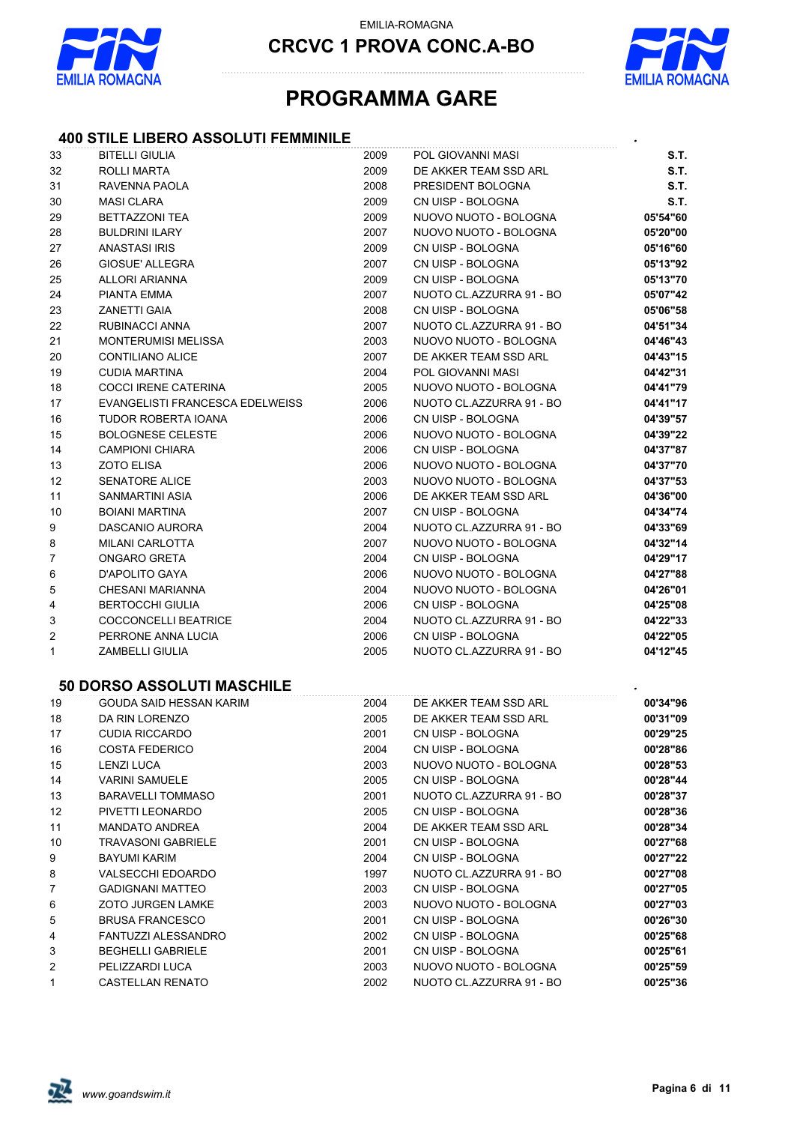

**CRCVC 1 PROVA CONC.A-BO**



## **PROGRAMMA GARE**

#### **400 STILE LIBERO ASSOLUTI FEMMINILE** *.*

| 33 | <b>BITELLI GIULIA</b>             | 2009 | <b>POL GIOVANNI MASI</b> | S.T.     |
|----|-----------------------------------|------|--------------------------|----------|
| 32 | ROLLI MARTA                       | 2009 | DE AKKER TEAM SSD ARL    | S.T.     |
| 31 | RAVENNA PAOLA                     | 2008 | PRESIDENT BOLOGNA        | S.T.     |
| 30 | <b>MASI CLARA</b>                 | 2009 | CN UISP - BOLOGNA        | S.T.     |
| 29 | <b>BETTAZZONI TEA</b>             | 2009 | NUOVO NUOTO - BOLOGNA    | 05'54"60 |
| 28 | <b>BULDRINI ILARY</b>             | 2007 | NUOVO NUOTO - BOLOGNA    | 05'20"00 |
| 27 | <b>ANASTASI IRIS</b>              | 2009 | CN UISP - BOLOGNA        | 05'16"60 |
| 26 | <b>GIOSUE' ALLEGRA</b>            | 2007 | CN UISP - BOLOGNA        | 05'13"92 |
| 25 | ALLORI ARIANNA                    | 2009 | CN UISP - BOLOGNA        | 05'13"70 |
| 24 | PIANTA EMMA                       | 2007 | NUOTO CL.AZZURRA 91 - BO | 05'07"42 |
| 23 | <b>ZANETTI GAIA</b>               | 2008 | CN UISP - BOLOGNA        | 05'06"58 |
| 22 | RUBINACCI ANNA                    | 2007 | NUOTO CL.AZZURRA 91 - BO | 04'51"34 |
| 21 | <b>MONTERUMISI MELISSA</b>        | 2003 | NUOVO NUOTO - BOLOGNA    | 04'46"43 |
| 20 | CONTILIANO ALICE                  | 2007 | DE AKKER TEAM SSD ARL    | 04'43"15 |
| 19 | <b>CUDIA MARTINA</b>              | 2004 | POL GIOVANNI MASI        | 04'42"31 |
| 18 | COCCI IRENE CATERINA              | 2005 | NUOVO NUOTO - BOLOGNA    | 04'41"79 |
| 17 | EVANGELISTI FRANCESCA EDELWEISS   | 2006 | NUOTO CL.AZZURRA 91 - BO | 04'41"17 |
| 16 | TUDOR ROBERTA IOANA               | 2006 | CN UISP - BOLOGNA        | 04'39"57 |
| 15 | <b>BOLOGNESE CELESTE</b>          | 2006 | NUOVO NUOTO - BOLOGNA    | 04'39"22 |
| 14 | <b>CAMPIONI CHIARA</b>            | 2006 | CN UISP - BOLOGNA        | 04'37"87 |
| 13 | <b>ZOTO ELISA</b>                 | 2006 | NUOVO NUOTO - BOLOGNA    | 04'37"70 |
| 12 | <b>SENATORE ALICE</b>             | 2003 | NUOVO NUOTO - BOLOGNA    | 04'37"53 |
| 11 | <b>SANMARTINI ASIA</b>            | 2006 | DE AKKER TEAM SSD ARL    | 04'36"00 |
| 10 | <b>BOIANI MARTINA</b>             | 2007 | CN UISP - BOLOGNA        | 04'34"74 |
| 9  | DASCANIO AURORA                   | 2004 | NUOTO CL.AZZURRA 91 - BO | 04'33"69 |
| 8  | <b>MILANI CARLOTTA</b>            | 2007 | NUOVO NUOTO - BOLOGNA    | 04'32"14 |
| 7  | ONGARO GRETA                      | 2004 | CN UISP - BOLOGNA        | 04'29"17 |
| 6  | D'APOLITO GAYA                    | 2006 | NUOVO NUOTO - BOLOGNA    | 04'27"88 |
| 5  | <b>CHESANI MARIANNA</b>           | 2004 | NUOVO NUOTO - BOLOGNA    | 04'26"01 |
| 4  | <b>BERTOCCHI GIULIA</b>           | 2006 | CN UISP - BOLOGNA        | 04'25"08 |
|    |                                   |      |                          |          |
| 3  | COCCONCELLI BEATRICE              | 2004 | NUOTO CL.AZZURRA 91 - BO | 04'22"33 |
| 2  | PERRONE ANNA LUCIA                | 2006 | CN UISP - BOLOGNA        | 04'22"05 |
| 1  | <b>ZAMBELLI GIULIA</b>            | 2005 | NUOTO CL.AZZURRA 91 - BO | 04'12"45 |
|    | <b>50 DORSO ASSOLUTI MASCHILE</b> |      |                          |          |
| 19 | GOUDA SAID HESSAN KARIM           | 2004 | DE AKKER TEAM SSD ARL    | 00'34"96 |
| 18 | DA RIN LORENZO                    | 2005 | DE AKKER TEAM SSD ARL    | 00'31"09 |
| 17 | <b>CUDIA RICCARDO</b>             | 2001 | CN UISP - BOLOGNA        | 00'29"25 |
| 16 | COSTA FEDERICO                    | 2004 | CN UISP - BOLOGNA        | 00'28"86 |
| 15 | <b>LENZI LUCA</b>                 | 2003 | NUOVO NUOTO - BOLOGNA    | 00'28"53 |
| 14 | <b>VARINI SAMUELE</b>             | 2005 | CN UISP - BOLOGNA        | 00'28"44 |
| 13 | <b>BARAVELLI TOMMASO</b>          | 2001 | NUOTO CL.AZZURRA 91 - BO | 00'28"37 |
| 12 | PIVETTI LEONARDO                  | 2005 | CN UISP - BOLOGNA        | 00'28"36 |
| 11 | <b>MANDATO ANDREA</b>             | 2004 | DE AKKER TEAM SSD ARL    | 00'28"34 |
| 10 | <b>TRAVASONI GABRIELE</b>         | 2001 | CN UISP - BOLOGNA        | 00'27"68 |
| 9  | <b>BAYUMI KARIM</b>               | 2004 | CN UISP - BOLOGNA        | 00'27"22 |
| 8  | <b>VALSECCHI EDOARDO</b>          | 1997 | NUOTO CL.AZZURRA 91 - BO | 00'27"08 |
| 7  | <b>GADIGNANI MATTEO</b>           | 2003 | CN UISP - BOLOGNA        | 00'27"05 |
| 6  | <b>ZOTO JURGEN LAMKE</b>          | 2003 | NUOVO NUOTO - BOLOGNA    | 00'27"03 |
| 5  | <b>BRUSA FRANCESCO</b>            | 2001 | CN UISP - BOLOGNA        | 00'26"30 |
| 4  | FANTUZZI ALESSANDRO               | 2002 | CN UISP - BOLOGNA        | 00'25"68 |
| 3  | <b>BEGHELLI GABRIELE</b>          | 2001 | CN UISP - BOLOGNA        | 00'25"61 |
| 2  | PELIZZARDI LUCA                   | 2003 | NUOVO NUOTO - BOLOGNA    | 00'25"59 |
| 1  | <b>CASTELLAN RENATO</b>           | 2002 | NUOTO CL.AZZURRA 91 - BO | 00'25"36 |

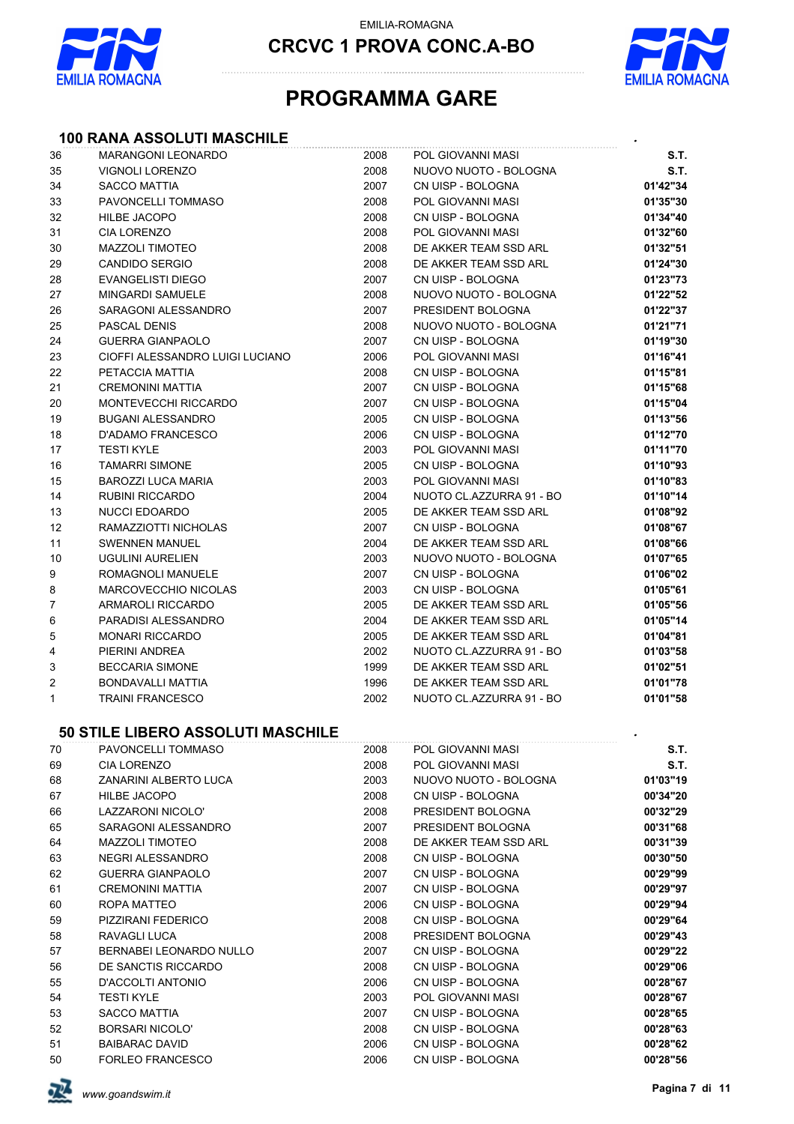

**CRCVC 1 PROVA CONC.A-BO**



## **PROGRAMMA GARE**

# **100 RANA ASSOLUTI MASCHILE** *.*

| 36 | <b>MARANGONI LEONARDO</b>         | 2008 | POL GIOVANNI MASI        | S.T.     |
|----|-----------------------------------|------|--------------------------|----------|
| 35 | <b>VIGNOLI LORENZO</b>            | 2008 | NUOVO NUOTO - BOLOGNA    | S.T.     |
| 34 | <b>SACCO MATTIA</b>               | 2007 | CN UISP - BOLOGNA        | 01'42"34 |
| 33 | PAVONCELLI TOMMASO                | 2008 | POL GIOVANNI MASI        | 01'35"30 |
| 32 | <b>HILBE JACOPO</b>               | 2008 | CN UISP - BOLOGNA        | 01'34"40 |
| 31 | <b>CIA LORENZO</b>                | 2008 | POL GIOVANNI MASI        | 01'32"60 |
| 30 | <b>MAZZOLI TIMOTEO</b>            | 2008 | DE AKKER TEAM SSD ARL    | 01'32"51 |
| 29 | <b>CANDIDO SERGIO</b>             | 2008 | DE AKKER TEAM SSD ARL    | 01'24"30 |
| 28 | EVANGELISTI DIEGO                 | 2007 | CN UISP - BOLOGNA        | 01'23"73 |
| 27 | <b>MINGARDI SAMUELE</b>           | 2008 | NUOVO NUOTO - BOLOGNA    | 01'22"52 |
| 26 | SARAGONI ALESSANDRO               | 2007 | PRESIDENT BOLOGNA        | 01'22"37 |
| 25 | PASCAL DENIS                      | 2008 | NUOVO NUOTO - BOLOGNA    | 01'21"71 |
| 24 | <b>GUERRA GIANPAOLO</b>           | 2007 | CN UISP - BOLOGNA        | 01'19"30 |
| 23 | CIOFFI ALESSANDRO LUIGI LUCIANO   | 2006 | POL GIOVANNI MASI        | 01'16"41 |
| 22 | PETACCIA MATTIA                   | 2008 | CN UISP - BOLOGNA        | 01'15"81 |
| 21 | <b>CREMONINI MATTIA</b>           | 2007 | CN UISP - BOLOGNA        | 01'15"68 |
| 20 | MONTEVECCHI RICCARDO              | 2007 | CN UISP - BOLOGNA        | 01'15"04 |
| 19 | <b>BUGANI ALESSANDRO</b>          | 2005 | CN UISP - BOLOGNA        | 01'13"56 |
| 18 | <b>D'ADAMO FRANCESCO</b>          | 2006 | CN UISP - BOLOGNA        | 01'12"70 |
| 17 | <b>TESTI KYLE</b>                 | 2003 | POL GIOVANNI MASI        | 01'11"70 |
| 16 | <b>TAMARRI SIMONE</b>             | 2005 | CN UISP - BOLOGNA        | 01'10"93 |
| 15 | BAROZZI LUCA MARIA                | 2003 | POL GIOVANNI MASI        | 01'10"83 |
| 14 | <b>RUBINI RICCARDO</b>            | 2004 | NUOTO CL.AZZURRA 91 - BO | 01'10"14 |
| 13 | NUCCI EDOARDO                     | 2005 | DE AKKER TEAM SSD ARL    | 01'08"92 |
| 12 | RAMAZZIOTTI NICHOLAS              | 2007 | CN UISP - BOLOGNA        | 01'08"67 |
| 11 | <b>SWENNEN MANUEL</b>             | 2004 | DE AKKER TEAM SSD ARL    | 01'08"66 |
| 10 | <b>UGULINI AURELIEN</b>           | 2003 | NUOVO NUOTO - BOLOGNA    | 01'07"65 |
| 9  | ROMAGNOLI MANUELE                 | 2007 | CN UISP - BOLOGNA        | 01'06"02 |
| 8  | MARCOVECCHIO NICOLAS              | 2003 | CN UISP - BOLOGNA        | 01'05"61 |
| 7  | <b>ARMAROLI RICCARDO</b>          | 2005 | DE AKKER TEAM SSD ARL    | 01'05"56 |
| 6  | PARADISI ALESSANDRO               | 2004 | DE AKKER TEAM SSD ARL    | 01'05"14 |
| 5  | <b>MONARI RICCARDO</b>            | 2005 | DE AKKER TEAM SSD ARL    | 01'04"81 |
| 4  | PIERINI ANDREA                    | 2002 | NUOTO CL.AZZURRA 91 - BO | 01'03"58 |
| 3  | <b>BECCARIA SIMONE</b>            | 1999 | DE AKKER TEAM SSD ARL    | 01'02"51 |
| 2  | BONDAVALLI MATTIA                 | 1996 | DE AKKER TEAM SSD ARL    | 01'01"78 |
| 1  | <b>TRAINI FRANCESCO</b>           | 2002 | NUOTO CL.AZZURRA 91 - BO | 01'01"58 |
|    | 50 STILE LIBERO ASSOLUTI MASCHILE |      |                          |          |
| 70 | PAVONCELLI TOMMASO                | 2008 | POL GIOVANNI MASI        | S.T.     |
| 69 | <b>CIA LORENZO</b>                | 2008 | POL GIOVANNI MASI        | S.T.     |
| 68 | ZANARINI ALBERTO LUCA             | 2003 | NUOVO NUOTO - BOLOGNA    | 01'03"19 |
| 67 | HILBE JACOPO                      | 2008 | CN UISP - BOLOGNA        | 00'34"20 |
| 66 | LAZZARONI NICOLO'                 | 2008 | PRESIDENT BOLOGNA        | 00'32"29 |
| 65 | SARAGONI ALESSANDRO               | 2007 | PRESIDENT BOLOGNA        | 00'31"68 |
| 64 | <b>MAZZOLI TIMOTEO</b>            | 2008 | DE AKKER TEAM SSD ARL    | 00'31"39 |
| 63 | NEGRI ALESSANDRO                  | 2008 | CN UISP - BOLOGNA        | 00'30"50 |
| 62 | <b>GUERRA GIANPAOLO</b>           | 2007 | CN UISP - BOLOGNA        | 00'29"99 |
| 61 | <b>CREMONINI MATTIA</b>           | 2007 | CN UISP - BOLOGNA        | 00'29"97 |
| 60 | ROPA MATTEO                       | 2006 | CN UISP - BOLOGNA        | 00'29"94 |
| 59 | PIZZIRANI FEDERICO                | 2008 | CN UISP - BOLOGNA        | 00'29"64 |
| 58 | RAVAGLI LUCA                      | 2008 | PRESIDENT BOLOGNA        | 00'29"43 |
| 57 | BERNABEI LEONARDO NULLO           | 2007 | CN UISP - BOLOGNA        | 00'29"22 |
| 56 | DE SANCTIS RICCARDO               | 2008 | CN UISP - BOLOGNA        | 00'29"06 |
| 55 | D'ACCOLTI ANTONIO                 | 2006 | CN UISP - BOLOGNA        | 00'28"67 |
| 54 | <b>TESTI KYLE</b>                 | 2003 | POL GIOVANNI MASI        | 00'28"67 |
| 53 | <b>SACCO MATTIA</b>               | 2007 | CN UISP - BOLOGNA        | 00'28"65 |
| 52 | <b>BORSARI NICOLO'</b>            | 2008 | CN UISP - BOLOGNA        | 00'28"63 |
| 51 | <b>BAIBARAC DAVID</b>             | 2006 | CN UISP - BOLOGNA        | 00'28"62 |
| 50 | FORLEO FRANCESCO                  | 2006 | CN UISP - BOLOGNA        | 00'28"56 |
|    |                                   |      |                          |          |

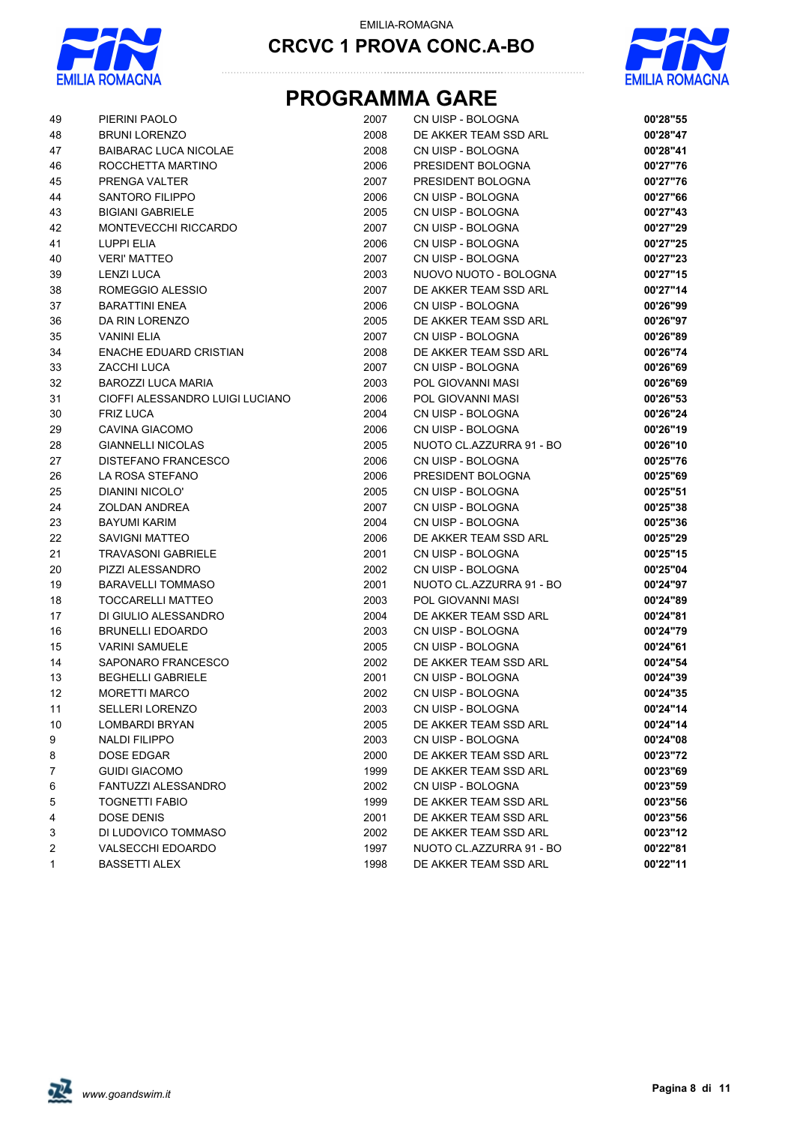



# **PROGRAMMA GARE**

| 49           | PIERINI PAOLO                   | 2007 | CN UISP - BOLOGNA        | 00'28"55 |
|--------------|---------------------------------|------|--------------------------|----------|
| 48           | <b>BRUNI LORENZO</b>            | 2008 | DE AKKER TEAM SSD ARL    | 00'28"47 |
| 47           | <b>BAIBARAC LUCA NICOLAE</b>    | 2008 | CN UISP - BOLOGNA        | 00'28"41 |
| 46           | ROCCHETTA MARTINO               | 2006 | PRESIDENT BOLOGNA        | 00'27"76 |
| 45           | PRENGA VALTER                   | 2007 | PRESIDENT BOLOGNA        | 00'27"76 |
| 44           | SANTORO FILIPPO                 | 2006 | CN UISP - BOLOGNA        | 00'27"66 |
| 43           | <b>BIGIANI GABRIELE</b>         | 2005 | CN UISP - BOLOGNA        | 00'27"43 |
| 42           | MONTEVECCHI RICCARDO            | 2007 | CN UISP - BOLOGNA        | 00'27"29 |
| 41           | LUPPI ELIA                      | 2006 | CN UISP - BOLOGNA        | 00'27"25 |
| 40           | <b>VERI' MATTEO</b>             | 2007 | CN UISP - BOLOGNA        | 00'27"23 |
| 39           | <b>LENZI LUCA</b>               | 2003 | NUOVO NUOTO - BOLOGNA    | 00'27"15 |
| 38           | ROMEGGIO ALESSIO                | 2007 | DE AKKER TEAM SSD ARL    | 00'27"14 |
| 37           | <b>BARATTINI ENEA</b>           | 2006 | CN UISP - BOLOGNA        | 00'26"99 |
| 36           | DA RIN LORENZO                  | 2005 | DE AKKER TEAM SSD ARL    | 00'26"97 |
| 35           | <b>VANINI ELIA</b>              | 2007 | CN UISP - BOLOGNA        | 00'26"89 |
| 34           | <b>ENACHE EDUARD CRISTIAN</b>   | 2008 | DE AKKER TEAM SSD ARL    | 00'26"74 |
| 33           | ZACCHI LUCA                     | 2007 | CN UISP - BOLOGNA        | 00'26"69 |
| 32           | <b>BAROZZI LUCA MARIA</b>       | 2003 | POL GIOVANNI MASI        | 00'26"69 |
| 31           | CIOFFI ALESSANDRO LUIGI LUCIANO | 2006 | POL GIOVANNI MASI        | 00'26"53 |
| 30           | <b>FRIZ LUCA</b>                | 2004 | CN UISP - BOLOGNA        | 00'26"24 |
| 29           | CAVINA GIACOMO                  | 2006 | CN UISP - BOLOGNA        | 00'26"19 |
| 28           | <b>GIANNELLI NICOLAS</b>        | 2005 | NUOTO CL.AZZURRA 91 - BO | 00'26"10 |
| 27           | DISTEFANO FRANCESCO             | 2006 | CN UISP - BOLOGNA        | 00'25"76 |
| 26           | LA ROSA STEFANO                 | 2006 | PRESIDENT BOLOGNA        | 00'25"69 |
| 25           | DIANINI NICOLO'                 | 2005 | CN UISP - BOLOGNA        | 00'25"51 |
| 24           | <b>ZOLDAN ANDREA</b>            | 2007 | CN UISP - BOLOGNA        | 00'25"38 |
| 23           | <b>BAYUMI KARIM</b>             | 2004 | CN UISP - BOLOGNA        | 00'25"36 |
| 22           | <b>SAVIGNI MATTEO</b>           | 2006 | DE AKKER TEAM SSD ARL    | 00'25"29 |
| 21           | <b>TRAVASONI GABRIELE</b>       | 2001 | CN UISP - BOLOGNA        | 00'25"15 |
| 20           | PIZZI ALESSANDRO                | 2002 | CN UISP - BOLOGNA        | 00'25"04 |
| 19           | <b>BARAVELLI TOMMASO</b>        | 2001 | NUOTO CL.AZZURRA 91 - BO | 00'24"97 |
| 18           | <b>TOCCARELLI MATTEO</b>        | 2003 | POL GIOVANNI MASI        | 00'24"89 |
| 17           | DI GIULIO ALESSANDRO            | 2004 | DE AKKER TEAM SSD ARL    | 00'24"81 |
| 16           | <b>BRUNELLI EDOARDO</b>         | 2003 | CN UISP - BOLOGNA        | 00'24"79 |
| 15           | <b>VARINI SAMUELE</b>           | 2005 | CN UISP - BOLOGNA        | 00'24"61 |
| 14           | SAPONARO FRANCESCO              | 2002 | DE AKKER TEAM SSD ARL    | 00'24"54 |
| 13           | <b>BEGHELLI GABRIELE</b>        | 2001 | CN UISP - BOLOGNA        | 00'24"39 |
| 12           | <b>MORETTI MARCO</b>            | 2002 | CN UISP - BOLOGNA        | 00'24"35 |
| 11           | SELLERI LORENZO                 | 2003 | CN UISP - BOLOGNA        | 00'24"14 |
| 10           | LOMBARDI BRYAN                  | 2005 | DE AKKER TEAM SSD ARL    | 00'24"14 |
| 9            | <b>NALDI FILIPPO</b>            | 2003 | CN UISP - BOLOGNA        | 00'24"08 |
| 8            | DOSE EDGAR                      | 2000 | DE AKKER TEAM SSD ARL    | 00'23"72 |
| 7            | <b>GUIDI GIACOMO</b>            | 1999 | DE AKKER TEAM SSD ARL    | 00'23"69 |
| 6            | FANTUZZI ALESSANDRO             | 2002 | CN UISP - BOLOGNA        | 00'23"59 |
| 5            | <b>TOGNETTI FABIO</b>           | 1999 | DE AKKER TEAM SSD ARL    | 00'23"56 |
| 4            | DOSE DENIS                      | 2001 | DE AKKER TEAM SSD ARL    | 00'23"56 |
| 3            | DI LUDOVICO TOMMASO             | 2002 | DE AKKER TEAM SSD ARL    | 00'23"12 |
| 2            | <b>VALSECCHI EDOARDO</b>        | 1997 | NUOTO CL.AZZURRA 91 - BO | 00'22"81 |
| $\mathbf{1}$ | <b>BASSETTI ALEX</b>            | 1998 | DE AKKER TEAM SSD ARL    | 00'22"11 |

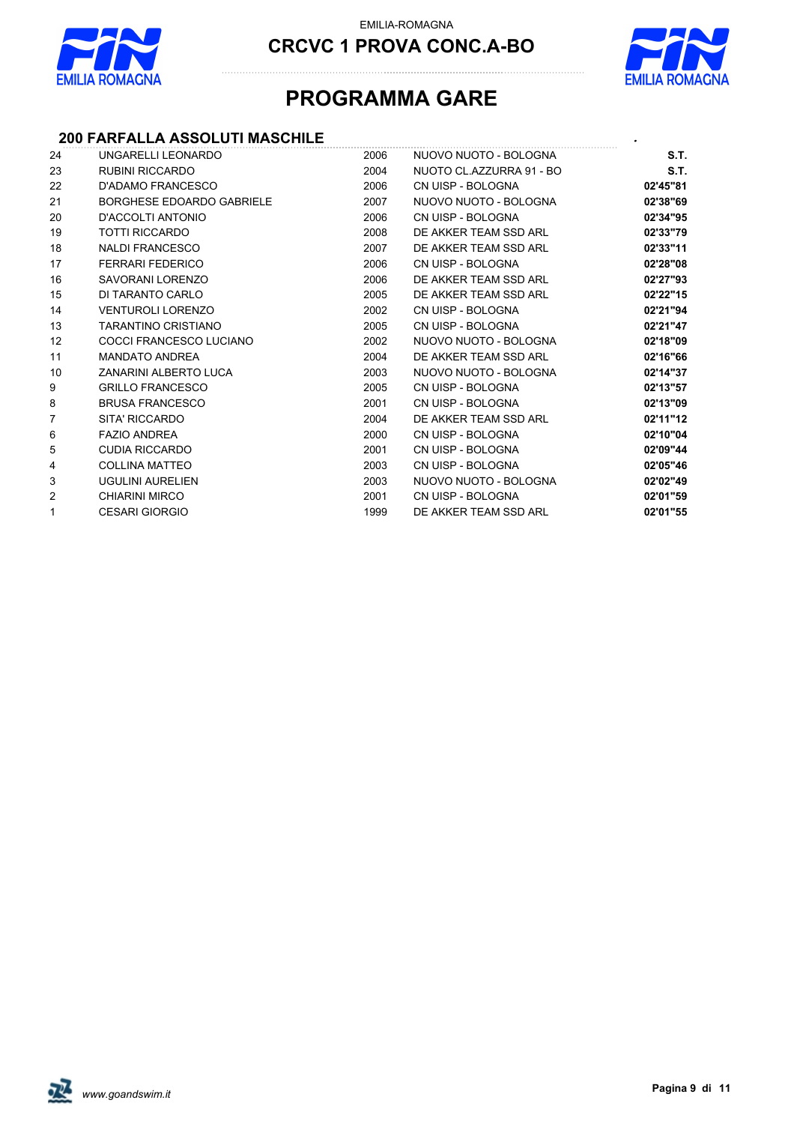

**CRCVC 1 PROVA CONC.A-BO**



# **PROGRAMMA GARE**

## **200 FARFALLA ASSOLUTI MASCHILE** *.*

| 24              | UNGARELLI LEONARDO         | 2006 | NUOVO NUOTO - BOLOGNA    | S.T.     |
|-----------------|----------------------------|------|--------------------------|----------|
| 23              | RUBINI RICCARDO            | 2004 | NUOTO CL.AZZURRA 91 - BO | S.T.     |
| 22              | D'ADAMO FRANCESCO          | 2006 | CN UISP - BOLOGNA        | 02'45"81 |
| 21              | BORGHESE EDOARDO GABRIELE  | 2007 | NUOVO NUOTO - BOLOGNA    | 02'38"69 |
| 20              | D'ACCOLTI ANTONIO          | 2006 | CN UISP - BOLOGNA        | 02'34"95 |
| 19              | TOTTI RICCARDO             | 2008 | DE AKKER TEAM SSD ARL    | 02'33"79 |
| 18              | <b>NALDI FRANCESCO</b>     | 2007 | DE AKKER TEAM SSD ARL    | 02'33"11 |
| 17              | FERRARI FEDERICO           | 2006 | CN UISP - BOLOGNA        | 02'28"08 |
| 16              | SAVORANI LORENZO           | 2006 | DE AKKER TEAM SSD ARL    | 02'27"93 |
| 15              | DI TARANTO CARLO           | 2005 | DE AKKER TEAM SSD ARL    | 02'22"15 |
| 14              | <b>VENTUROLI LORENZO</b>   | 2002 | CN UISP - BOLOGNA        | 02'21"94 |
| 13              | <b>TARANTINO CRISTIANO</b> | 2005 | CN UISP - BOLOGNA        | 02'21"47 |
| 12 <sup>°</sup> | COCCI FRANCESCO LUCIANO    | 2002 | NUOVO NUOTO - BOLOGNA    | 02'18"09 |
| 11              | <b>MANDATO ANDREA</b>      | 2004 | DE AKKER TEAM SSD ARL    | 02'16"66 |
| 10              | ZANARINI ALBERTO LUCA      | 2003 | NUOVO NUOTO - BOLOGNA    | 02'14"37 |
| 9               | <b>GRILLO FRANCESCO</b>    | 2005 | CN UISP - BOLOGNA        | 02'13"57 |
| 8               | <b>BRUSA FRANCESCO</b>     | 2001 | CN UISP - BOLOGNA        | 02'13"09 |
| $\overline{7}$  | SITA' RICCARDO             | 2004 | DE AKKER TEAM SSD ARL    | 02'11"12 |
| 6               | <b>FAZIO ANDREA</b>        | 2000 | CN UISP - BOLOGNA        | 02'10"04 |
| 5               | <b>CUDIA RICCARDO</b>      | 2001 | CN UISP - BOLOGNA        | 02'09"44 |
| 4               | <b>COLLINA MATTEO</b>      | 2003 | CN UISP - BOLOGNA        | 02'05"46 |
| 3               | UGULINI AURELIEN           | 2003 | NUOVO NUOTO - BOLOGNA    | 02'02"49 |
| 2               | <b>CHIARINI MIRCO</b>      | 2001 | CN UISP - BOLOGNA        | 02'01"59 |
| $\mathbf{1}$    | <b>CESARI GIORGIO</b>      | 1999 | DE AKKER TEAM SSD ARL    | 02'01"55 |
|                 |                            |      |                          |          |

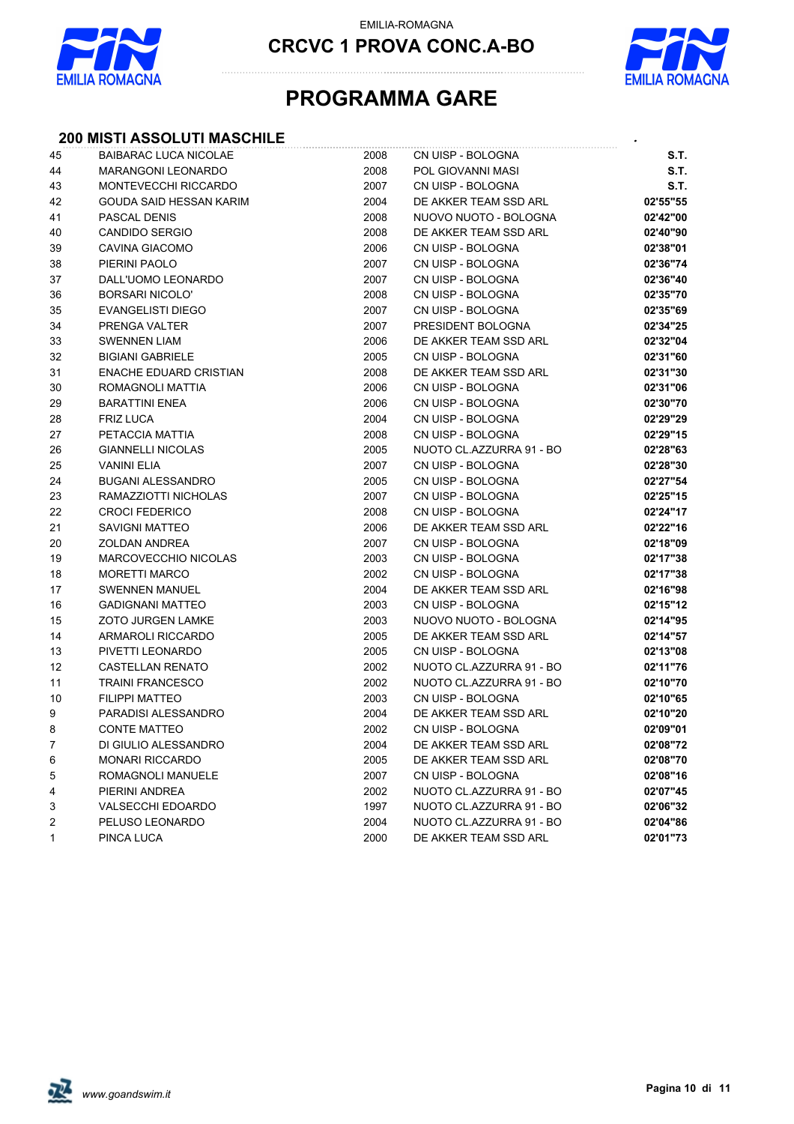

**CRCVC 1 PROVA CONC.A-BO**



# **PROGRAMMA GARE**

## **200 MISTI ASSOLUTI MASCHILE** *.*

| 45           | <b>BAIBARAC LUCA NICOLAE</b> | 2008 | CN UISP - BOLOGNA        | S.T.     |
|--------------|------------------------------|------|--------------------------|----------|
| 44           | <b>MARANGONI LEONARDO</b>    | 2008 | POL GIOVANNI MASI        | S.T.     |
| 43           | MONTEVECCHI RICCARDO         | 2007 | CN UISP - BOLOGNA        | S.T.     |
| 42           | GOUDA SAID HESSAN KARIM      | 2004 | DE AKKER TEAM SSD ARL    | 02'55"55 |
| 41           | <b>PASCAL DENIS</b>          | 2008 | NUOVO NUOTO - BOLOGNA    | 02'42"00 |
| 40           | <b>CANDIDO SERGIO</b>        | 2008 | DE AKKER TEAM SSD ARL    | 02'40"90 |
| 39           | CAVINA GIACOMO               | 2006 | CN UISP - BOLOGNA        | 02'38"01 |
| 38           | PIERINI PAOLO                | 2007 | CN UISP - BOLOGNA        | 02'36"74 |
| 37           | DALL'UOMO LEONARDO           | 2007 | CN UISP - BOLOGNA        | 02'36"40 |
| 36           | <b>BORSARI NICOLO'</b>       | 2008 | CN UISP - BOLOGNA        | 02'35"70 |
| 35           | <b>EVANGELISTI DIEGO</b>     | 2007 | CN UISP - BOLOGNA        | 02'35"69 |
| 34           | PRENGA VALTER                | 2007 | PRESIDENT BOLOGNA        | 02'34"25 |
| 33           | <b>SWENNEN LIAM</b>          | 2006 | DE AKKER TEAM SSD ARL    | 02'32"04 |
| 32           | <b>BIGIANI GABRIELE</b>      | 2005 | CN UISP - BOLOGNA        | 02'31"60 |
| 31           | ENACHE EDUARD CRISTIAN       | 2008 | DE AKKER TEAM SSD ARL    | 02'31"30 |
| 30           | ROMAGNOLI MATTIA             | 2006 | CN UISP - BOLOGNA        | 02'31"06 |
| 29           | <b>BARATTINI ENEA</b>        | 2006 | CN UISP - BOLOGNA        | 02'30"70 |
| 28           | <b>FRIZ LUCA</b>             | 2004 | CN UISP - BOLOGNA        | 02'29"29 |
| 27           | PETACCIA MATTIA              | 2008 | CN UISP - BOLOGNA        | 02'29"15 |
| 26           | <b>GIANNELLI NICOLAS</b>     | 2005 | NUOTO CL.AZZURRA 91 - BO | 02'28"63 |
| 25           | <b>VANINI ELIA</b>           | 2007 | CN UISP - BOLOGNA        | 02'28"30 |
| 24           | <b>BUGANI ALESSANDRO</b>     | 2005 | CN UISP - BOLOGNA        | 02'27"54 |
| 23           | RAMAZZIOTTI NICHOLAS         | 2007 | CN UISP - BOLOGNA        | 02'25"15 |
| 22           | <b>CROCI FEDERICO</b>        | 2008 | CN UISP - BOLOGNA        | 02'24"17 |
| 21           | <b>SAVIGNI MATTEO</b>        | 2006 | DE AKKER TEAM SSD ARL    | 02'22"16 |
| 20           | <b>ZOLDAN ANDREA</b>         | 2007 | CN UISP - BOLOGNA        | 02'18"09 |
| 19           | MARCOVECCHIO NICOLAS         | 2003 | CN UISP - BOLOGNA        | 02'17"38 |
| 18           | <b>MORETTI MARCO</b>         | 2002 | CN UISP - BOLOGNA        | 02'17"38 |
| 17           | <b>SWENNEN MANUEL</b>        | 2004 | DE AKKER TEAM SSD ARL    | 02'16"98 |
| 16           | <b>GADIGNANI MATTEO</b>      | 2003 | CN UISP - BOLOGNA        | 02'15"12 |
| 15           | <b>ZOTO JURGEN LAMKE</b>     | 2003 | NUOVO NUOTO - BOLOGNA    | 02'14"95 |
| 14           | ARMAROLI RICCARDO            | 2005 | DE AKKER TEAM SSD ARL    | 02'14"57 |
| 13           | PIVETTI LEONARDO             | 2005 | CN UISP - BOLOGNA        | 02'13"08 |
| 12           | <b>CASTELLAN RENATO</b>      | 2002 | NUOTO CL.AZZURRA 91 - BO | 02'11"76 |
| 11           | <b>TRAINI FRANCESCO</b>      | 2002 | NUOTO CL.AZZURRA 91 - BO | 02'10"70 |
| 10           | <b>FILIPPI MATTEO</b>        | 2003 | CN UISP - BOLOGNA        | 02'10"65 |
| 9            | PARADISI ALESSANDRO          | 2004 | DE AKKER TEAM SSD ARL    | 02'10"20 |
| 8            | <b>CONTE MATTEO</b>          | 2002 | CN UISP - BOLOGNA        | 02'09"01 |
| 7            | DI GIULIO ALESSANDRO         | 2004 | DE AKKER TEAM SSD ARL    | 02'08"72 |
| 6            | <b>MONARI RICCARDO</b>       | 2005 | DE AKKER TEAM SSD ARL    | 02'08"70 |
| 5            | ROMAGNOLI MANUELE            | 2007 | CN UISP - BOLOGNA        | 02'08"16 |
| 4            | PIERINI ANDREA               | 2002 | NUOTO CL.AZZURRA 91 - BO | 02'07"45 |
| 3            | <b>VALSECCHI EDOARDO</b>     | 1997 | NUOTO CL.AZZURRA 91 - BO | 02'06"32 |
| 2            | PELUSO LEONARDO              | 2004 | NUOTO CL.AZZURRA 91 - BO | 02'04"86 |
| $\mathbf{1}$ | PINCA LUCA                   | 2000 | DE AKKER TEAM SSD ARL    | 02'01"73 |